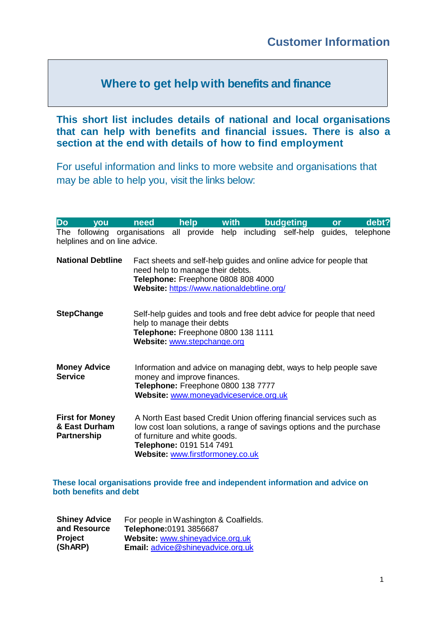## **Where to get help with benefits and finance**

**This short list includes details of national and local organisations that can help with benefits and financial issues. There is also a section at the end with details of how to find employment**

For useful information and links to more website and organisations that may be able to help you, visit the links below:

| Do                                                                                                                                                                                                                                                                                                            | you                      | need                                                                                            |                                                                                                                                                                                  | help | <b>with</b> |                                                                                                                  | budgeting | or | debt?     |
|---------------------------------------------------------------------------------------------------------------------------------------------------------------------------------------------------------------------------------------------------------------------------------------------------------------|--------------------------|-------------------------------------------------------------------------------------------------|----------------------------------------------------------------------------------------------------------------------------------------------------------------------------------|------|-------------|------------------------------------------------------------------------------------------------------------------|-----------|----|-----------|
| The                                                                                                                                                                                                                                                                                                           |                          | following organisations<br>helplines and on line advice.                                        |                                                                                                                                                                                  |      |             | all provide help including self-help guides,                                                                     |           |    | telephone |
|                                                                                                                                                                                                                                                                                                               | <b>National Debtline</b> | need help to manage their debts.<br>Telephone: Freephone 0808 808 4000                          |                                                                                                                                                                                  |      |             | Fact sheets and self-help guides and online advice for people that<br>Website: https://www.nationaldebtline.org/ |           |    |           |
|                                                                                                                                                                                                                                                                                                               | <b>StepChange</b>        | help to manage their debts<br>Telephone: Freephone 0800 138 1111<br>Website: www.stepchange.org |                                                                                                                                                                                  |      |             | Self-help guides and tools and free debt advice for people that need                                             |           |    |           |
| <b>Service</b>                                                                                                                                                                                                                                                                                                | <b>Money Advice</b>      |                                                                                                 | Information and advice on managing debt, ways to help people save<br>money and improve finances.<br>Telephone: Freephone 0800 138 7777<br>Website: www.moneyadviceservice.org.uk |      |             |                                                                                                                  |           |    |           |
| <b>First for Money</b><br>A North East based Credit Union offering financial services such as<br>& East Durham<br>low cost loan solutions, a range of savings options and the purchase<br><b>Partnership</b><br>of furniture and white goods.<br>Telephone: 0191 514 7491<br>Website: www.firstformoney.co.uk |                          |                                                                                                 |                                                                                                                                                                                  |      |             |                                                                                                                  |           |    |           |

**These local organisations provide free and independent information and advice on both benefits and debt**

| <b>Shiney Advice</b> | For people in Washington & Coalfields.   |
|----------------------|------------------------------------------|
| and Resource         | Telephone: 0191 3856687                  |
| <b>Project</b>       | Website: www.shineyadvice.org.uk         |
| (ShARP)              | <b>Email: advice@shineyadvice.org.uk</b> |